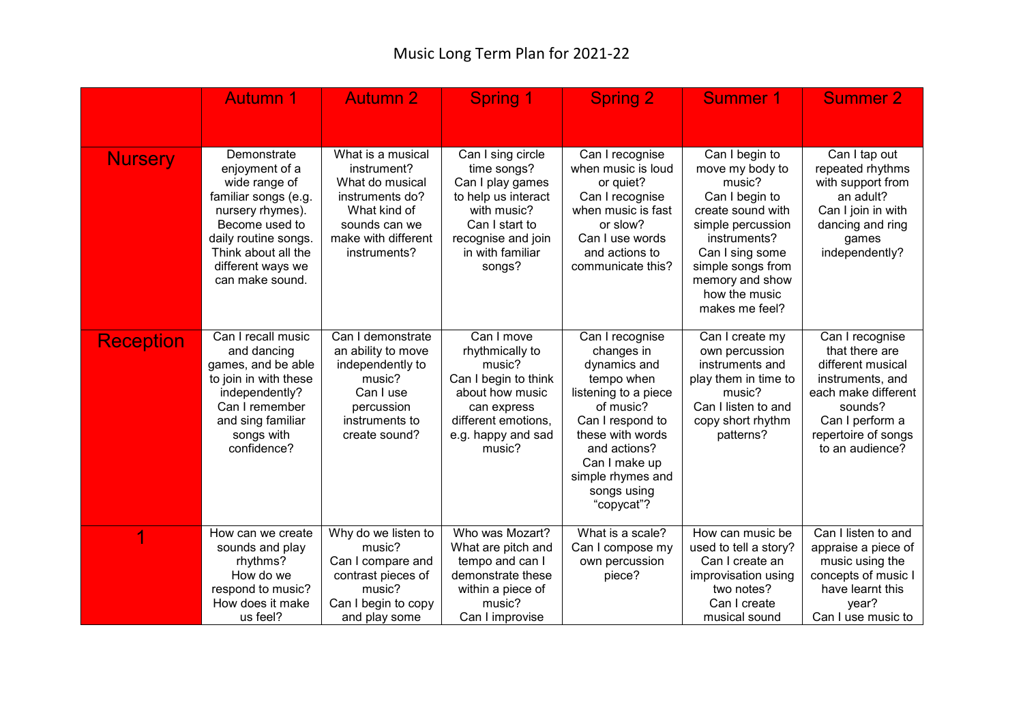|                  | <b>Autumn 1</b>                                                                                                                                                                                     | <b>Autumn 2</b>                                                                                                                                | <b>Spring 1</b>                                                                                                                                                  | <b>Spring 2</b>                                                                                                                                                                                                             | <b>Summer 1</b>                                                                                                                                                                                                       | <b>Summer 2</b>                                                                                                                                                           |
|------------------|-----------------------------------------------------------------------------------------------------------------------------------------------------------------------------------------------------|------------------------------------------------------------------------------------------------------------------------------------------------|------------------------------------------------------------------------------------------------------------------------------------------------------------------|-----------------------------------------------------------------------------------------------------------------------------------------------------------------------------------------------------------------------------|-----------------------------------------------------------------------------------------------------------------------------------------------------------------------------------------------------------------------|---------------------------------------------------------------------------------------------------------------------------------------------------------------------------|
|                  |                                                                                                                                                                                                     |                                                                                                                                                |                                                                                                                                                                  |                                                                                                                                                                                                                             |                                                                                                                                                                                                                       |                                                                                                                                                                           |
| <b>Nursery</b>   | Demonstrate<br>enjoyment of a<br>wide range of<br>familiar songs (e.g.<br>nursery rhymes).<br>Become used to<br>daily routine songs.<br>Think about all the<br>different ways we<br>can make sound. | What is a musical<br>instrument?<br>What do musical<br>instruments do?<br>What kind of<br>sounds can we<br>make with different<br>instruments? | Can I sing circle<br>time songs?<br>Can I play games<br>to help us interact<br>with music?<br>Can I start to<br>recognise and join<br>in with familiar<br>songs? | Can I recognise<br>when music is loud<br>or quiet?<br>Can I recognise<br>when music is fast<br>or slow?<br>Can I use words<br>and actions to<br>communicate this?                                                           | Can I begin to<br>move my body to<br>music?<br>Can I begin to<br>create sound with<br>simple percussion<br>instruments?<br>Can I sing some<br>simple songs from<br>memory and show<br>how the music<br>makes me feel? | Can I tap out<br>repeated rhythms<br>with support from<br>an adult?<br>Can I join in with<br>dancing and ring<br>games<br>independently?                                  |
| <b>Reception</b> | Can I recall music<br>and dancing<br>games, and be able<br>to join in with these<br>independently?<br>Can I remember<br>and sing familiar<br>songs with<br>confidence?                              | Can I demonstrate<br>an ability to move<br>independently to<br>music?<br>Can I use<br>percussion<br>instruments to<br>create sound?            | Can I move<br>rhythmically to<br>music?<br>Can I begin to think<br>about how music<br>can express<br>different emotions,<br>e.g. happy and sad<br>music?         | Can I recognise<br>changes in<br>dynamics and<br>tempo when<br>listening to a piece<br>of music?<br>Can I respond to<br>these with words<br>and actions?<br>Can I make up<br>simple rhymes and<br>songs using<br>"copycat"? | Can I create my<br>own percussion<br>instruments and<br>play them in time to<br>music?<br>Can I listen to and<br>copy short rhythm<br>patterns?                                                                       | Can I recognise<br>that there are<br>different musical<br>instruments, and<br>each make different<br>sounds?<br>Can I perform a<br>repertoire of songs<br>to an audience? |
|                  | How can we create<br>sounds and play<br>rhythms?<br>How do we<br>respond to music?<br>How does it make<br>us feel?                                                                                  | Why do we listen to<br>music?<br>Can I compare and<br>contrast pieces of<br>music?<br>Can I begin to copy<br>and play some                     | Who was Mozart?<br>What are pitch and<br>tempo and can I<br>demonstrate these<br>within a piece of<br>music?<br>Can I improvise                                  | What is a scale?<br>Can I compose my<br>own percussion<br>piece?                                                                                                                                                            | How can music be<br>used to tell a story?<br>Can I create an<br>improvisation using<br>two notes?<br>Can I create<br>musical sound                                                                                    | Can I listen to and<br>appraise a piece of<br>music using the<br>concepts of music I<br>have learnt this<br>year?<br>Can I use music to                                   |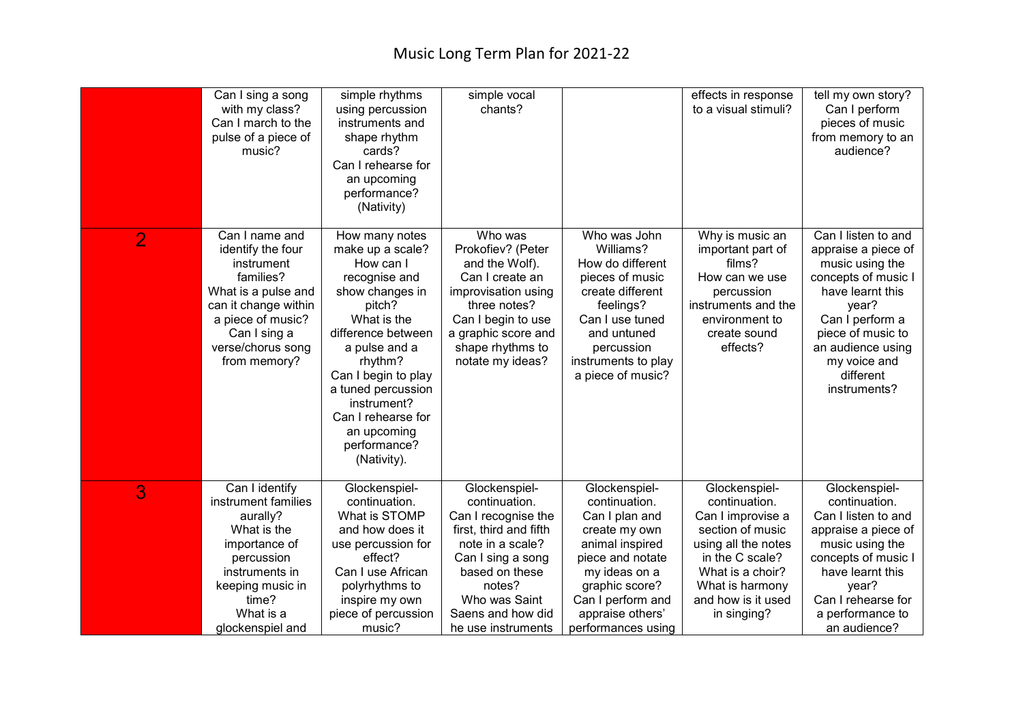|                | Can I sing a song<br>with my class?<br>Can I march to the<br>pulse of a piece of<br>music?                                                                                              | simple rhythms<br>using percussion<br>instruments and<br>shape rhythm<br>cards?<br>Can I rehearse for<br>an upcoming<br>performance?<br>(Nativity)                                                                                                                                             | simple vocal<br>chants?                                                                                                                                                                       |                                                                                                                                                                                               | effects in response<br>to a visual stimuli?                                                                                                                                                   | tell my own story?<br>Can I perform<br>pieces of music<br>from memory to an<br>audience?                                                                                                                                    |
|----------------|-----------------------------------------------------------------------------------------------------------------------------------------------------------------------------------------|------------------------------------------------------------------------------------------------------------------------------------------------------------------------------------------------------------------------------------------------------------------------------------------------|-----------------------------------------------------------------------------------------------------------------------------------------------------------------------------------------------|-----------------------------------------------------------------------------------------------------------------------------------------------------------------------------------------------|-----------------------------------------------------------------------------------------------------------------------------------------------------------------------------------------------|-----------------------------------------------------------------------------------------------------------------------------------------------------------------------------------------------------------------------------|
| $\overline{2}$ | Can I name and<br>identify the four<br>instrument<br>families?<br>What is a pulse and<br>can it change within<br>a piece of music?<br>Can I sing a<br>verse/chorus song<br>from memory? | How many notes<br>make up a scale?<br>How can I<br>recognise and<br>show changes in<br>pitch?<br>What is the<br>difference between<br>a pulse and a<br>rhythm?<br>Can I begin to play<br>a tuned percussion<br>instrument?<br>Can I rehearse for<br>an upcoming<br>performance?<br>(Nativity). | Who was<br>Prokofiev? (Peter<br>and the Wolf).<br>Can I create an<br>improvisation using<br>three notes?<br>Can I begin to use<br>a graphic score and<br>shape rhythms to<br>notate my ideas? | Who was John<br>Williams?<br>How do different<br>pieces of music<br>create different<br>feelings?<br>Can I use tuned<br>and untuned<br>percussion<br>instruments to play<br>a piece of music? | Why is music an<br>important part of<br>films?<br>How can we use<br>percussion<br>instruments and the<br>environment to<br>create sound<br>effects?                                           | Can I listen to and<br>appraise a piece of<br>music using the<br>concepts of music I<br>have learnt this<br>year?<br>Can I perform a<br>piece of music to<br>an audience using<br>my voice and<br>different<br>instruments? |
| 3              | Can I identify<br>instrument families<br>aurally?<br>What is the<br>importance of<br>percussion<br>instruments in<br>keeping music in<br>time?<br>What is a                             | Glockenspiel-<br>continuation.<br>What is STOMP<br>and how does it<br>use percussion for<br>effect?<br>Can I use African<br>polyrhythms to<br>inspire my own<br>piece of percussion                                                                                                            | Glockenspiel-<br>continuation.<br>Can I recognise the<br>first, third and fifth<br>note in a scale?<br>Can I sing a song<br>based on these<br>notes?<br>Who was Saint<br>Saens and how did    | Glockenspiel-<br>continuation.<br>Can I plan and<br>create my own<br>animal inspired<br>piece and notate<br>my ideas on a<br>graphic score?<br>Can I perform and<br>appraise others'          | Glockenspiel-<br>continuation.<br>Can I improvise a<br>section of music<br>using all the notes<br>in the C scale?<br>What is a choir?<br>What is harmony<br>and how is it used<br>in singing? | Glockenspiel-<br>continuation.<br>Can I listen to and<br>appraise a piece of<br>music using the<br>concepts of music I<br>have learnt this<br>year?<br>Can I rehearse for<br>a performance to                               |
|                | glockenspiel and                                                                                                                                                                        | music?                                                                                                                                                                                                                                                                                         | he use instruments                                                                                                                                                                            | performances using                                                                                                                                                                            |                                                                                                                                                                                               | an audience?                                                                                                                                                                                                                |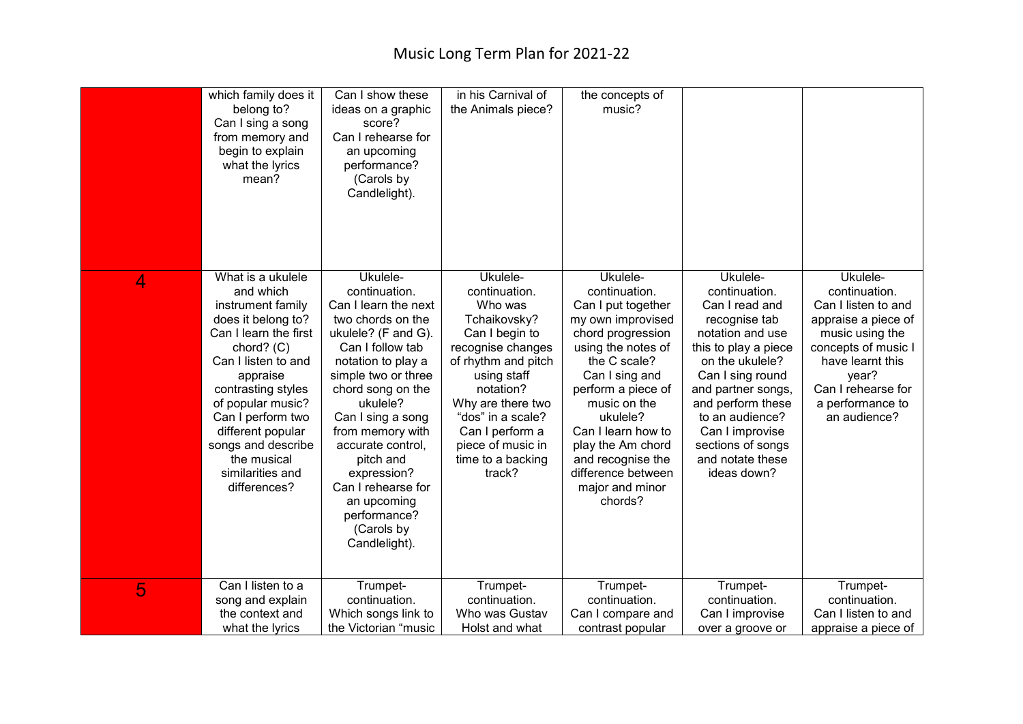|   | which family does it<br>belong to?<br>Can I sing a song<br>from memory and<br>begin to explain<br>what the lyrics<br>mean?                                                                                                                                                                                          | Can I show these<br>ideas on a graphic<br>score?<br>Can I rehearse for<br>an upcoming<br>performance?<br>(Carols by<br>Candlelight).                                                                                                                                                                                                                                          | in his Carnival of<br>the Animals piece?                                                                                                                                                                                                                        | the concepts of<br>music?                                                                                                                                                                                                                                                                                               |                                                                                                                                                                                                                                                                                          |                                                                                                                                                                                                          |
|---|---------------------------------------------------------------------------------------------------------------------------------------------------------------------------------------------------------------------------------------------------------------------------------------------------------------------|-------------------------------------------------------------------------------------------------------------------------------------------------------------------------------------------------------------------------------------------------------------------------------------------------------------------------------------------------------------------------------|-----------------------------------------------------------------------------------------------------------------------------------------------------------------------------------------------------------------------------------------------------------------|-------------------------------------------------------------------------------------------------------------------------------------------------------------------------------------------------------------------------------------------------------------------------------------------------------------------------|------------------------------------------------------------------------------------------------------------------------------------------------------------------------------------------------------------------------------------------------------------------------------------------|----------------------------------------------------------------------------------------------------------------------------------------------------------------------------------------------------------|
| 4 | What is a ukulele<br>and which<br>instrument family<br>does it belong to?<br>Can I learn the first<br>chord? $(C)$<br>Can I listen to and<br>appraise<br>contrasting styles<br>of popular music?<br>Can I perform two<br>different popular<br>songs and describe<br>the musical<br>similarities and<br>differences? | Ukulele-<br>continuation.<br>Can I learn the next<br>two chords on the<br>ukulele? (F and G).<br>Can I follow tab<br>notation to play a<br>simple two or three<br>chord song on the<br>ukulele?<br>Can I sing a song<br>from memory with<br>accurate control,<br>pitch and<br>expression?<br>Can I rehearse for<br>an upcoming<br>performance?<br>(Carols by<br>Candlelight). | Ukulele-<br>continuation.<br>Who was<br>Tchaikovsky?<br>Can I begin to<br>recognise changes<br>of rhythm and pitch<br>using staff<br>notation?<br>Why are there two<br>"dos" in a scale?<br>Can I perform a<br>piece of music in<br>time to a backing<br>track? | Ukulele-<br>continuation.<br>Can I put together<br>my own improvised<br>chord progression<br>using the notes of<br>the C scale?<br>Can I sing and<br>perform a piece of<br>music on the<br>ukulele?<br>Can I learn how to<br>play the Am chord<br>and recognise the<br>difference between<br>major and minor<br>chords? | Ukulele-<br>continuation.<br>Can I read and<br>recognise tab<br>notation and use<br>this to play a piece<br>on the ukulele?<br>Can I sing round<br>and partner songs,<br>and perform these<br>to an audience?<br>Can I improvise<br>sections of songs<br>and notate these<br>ideas down? | Ukulele-<br>continuation.<br>Can I listen to and<br>appraise a piece of<br>music using the<br>concepts of music I<br>have learnt this<br>year?<br>Can I rehearse for<br>a performance to<br>an audience? |
| 5 | Can I listen to a<br>song and explain<br>the context and<br>what the lyrics                                                                                                                                                                                                                                         | Trumpet-<br>continuation.<br>Which songs link to<br>the Victorian "music                                                                                                                                                                                                                                                                                                      | Trumpet-<br>continuation.<br>Who was Gustav<br>Holst and what                                                                                                                                                                                                   | Trumpet-<br>continuation.<br>Can I compare and<br>contrast popular                                                                                                                                                                                                                                                      | Trumpet-<br>continuation.<br>Can I improvise<br>over a groove or                                                                                                                                                                                                                         | Trumpet-<br>continuation.<br>Can I listen to and<br>appraise a piece of                                                                                                                                  |